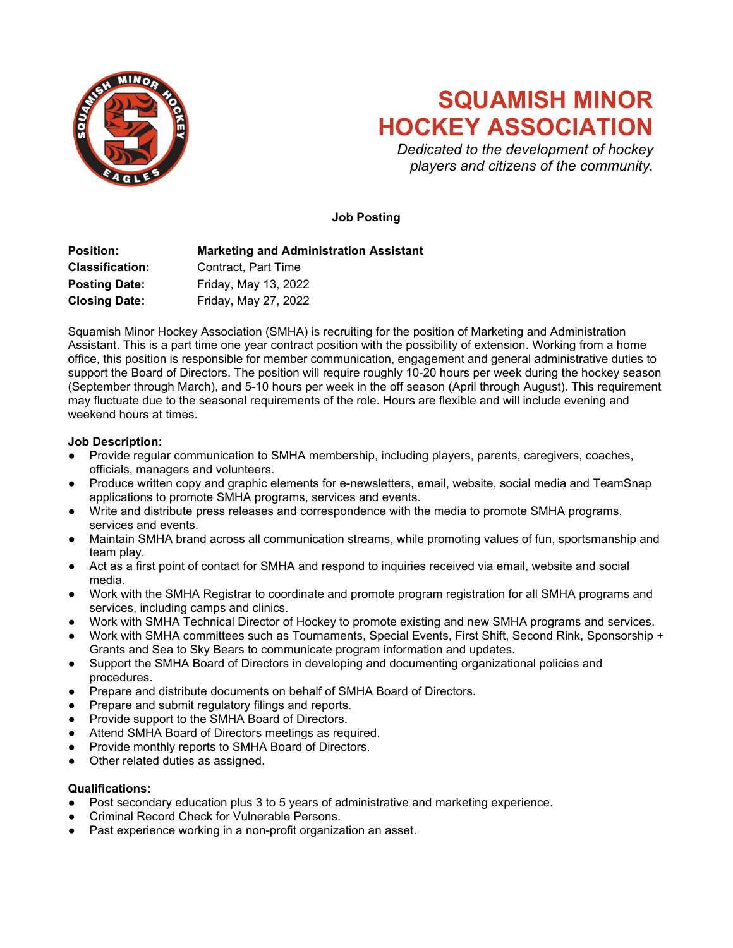

# **SQUAMISH MINOR HOCKEY ASSOCIATION**

*Dedicated to the development of hockey players and citizens of the community.*

# **Job Posting**

**Position: Marketing and Administration Assistant Classification:** Contract, Part Time Posting Date: Friday, May 13, 2022 **Closing Date:** Friday, May 27, 2022

Squamish Minor Hockey Association (SMHA) is recruiting for the position of Marketing and Administration Assistant. This is a part time one year contract position with the possibility of extension. Working from a home office, this position is responsible for member communication, engagement and general administrative duties to support the Board of Directors. The position will require roughly 10-20 hours per week during the hockey season (September through March), and 5-10 hours per week in the off season (April through August). This requirement may fluctuate due to the seasonal requirements of the role. Hours are flexible and will include evening and weekend hours at times.

## **Job Description:**

- Provide regular communication to SMHA membership, including players, parents, caregivers, coaches, officials, managers and volunteers.
- Produce written copy and graphic elements for e-newsletters, email, website, social media and TeamSnap applications to promote SMHA programs, services and events.
- Write and distribute press releases and correspondence with the media to promote SMHA programs, services and events.
- Maintain SMHA brand across all communication streams, while promoting values of fun, sportsmanship and team play.
- Act as a first point of contact for SMHA and respond to inquiries received via email, website and social media.
- Work with the SMHA Registrar to coordinate and promote program registration for all SMHA programs and services, including camps and clinics.
- Work with SMHA Technical Director of Hockey to promote existing and new SMHA programs and services.
- Work with SMHA committees such as Tournaments, Special Events, First Shift, Second Rink, Sponsorship + Grants and Sea to Sky Bears to communicate program information and updates.
- Support the SMHA Board of Directors in developing and documenting organizational policies and procedures.
- Prepare and distribute documents on behalf of SMHA Board of Directors.
- Prepare and submit regulatory filings and reports.
- Provide support to the SMHA Board of Directors.
- Attend SMHA Board of Directors meetings as required.
- Provide monthly reports to SMHA Board of Directors.
- Other related duties as assigned.

#### **Qualifications:**

- Post secondary education plus 3 to 5 years of administrative and marketing experience.
- Criminal Record Check for Vulnerable Persons.
- Past experience working in a non-profit organization an asset.